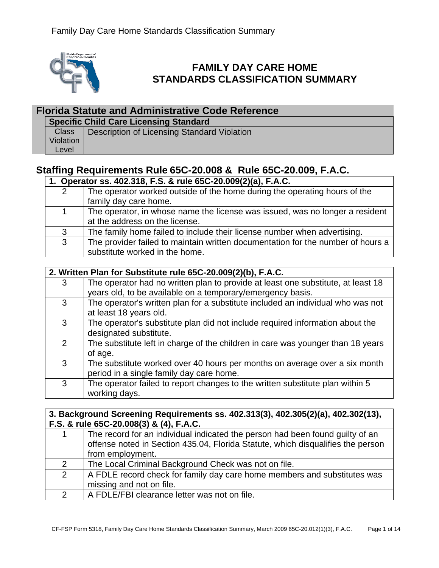

# **FAMILY DAY CARE HOME STANDARDS CLASSIFICATION SUMMARY**

## **Florida Statute and Administrative Code Reference**

|  |  |  |  | <b>Specific Child Care Licensing Standard</b> |
|--|--|--|--|-----------------------------------------------|
|--|--|--|--|-----------------------------------------------|

|           | Class   Description of Licensing Standard Violation |
|-----------|-----------------------------------------------------|
| Violation |                                                     |
| ∖ Level   |                                                     |

## **Staffing Requirements Rule 65C-20.008 & Rule 65C-20.009, F.A.C.**

### **1. Operator ss. 402.318, F.S. & rule 65C-20.009(2)(a), F.A.C.**

| $\overline{2}$ | The operator worked outside of the home during the operating hours of the       |
|----------------|---------------------------------------------------------------------------------|
|                | family day care home.                                                           |
|                | The operator, in whose name the license was issued, was no longer a resident    |
|                | at the address on the license.                                                  |
| 3              | The family home failed to include their license number when advertising.        |
| 3              | The provider failed to maintain written documentation for the number of hours a |
|                | substitute worked in the home.                                                  |

|   | 2. Written Plan for Substitute rule 65C-20.009(2)(b), F.A.C.                     |  |  |
|---|----------------------------------------------------------------------------------|--|--|
| 3 | The operator had no written plan to provide at least one substitute, at least 18 |  |  |
|   | years old, to be available on a temporary/emergency basis.                       |  |  |
| 3 | The operator's written plan for a substitute included an individual who was not  |  |  |
|   | at least 18 years old.                                                           |  |  |
| 3 | The operator's substitute plan did not include required information about the    |  |  |
|   | designated substitute.                                                           |  |  |
| 2 | The substitute left in charge of the children in care was younger than 18 years  |  |  |
|   | of age.                                                                          |  |  |
| 3 | The substitute worked over 40 hours per months on average over a six month       |  |  |
|   | period in a single family day care home.                                         |  |  |
| 3 | The operator failed to report changes to the written substitute plan within 5    |  |  |
|   | working days.                                                                    |  |  |

### **3. Background Screening Requirements ss. 402.313(3), 402.305(2)(a), 402.302(13), F.S. & rule 65C-20.008(3) & (4), F.A.C.**

|               | The record for an individual indicated the person had been found guilty of an<br>offense noted in Section 435.04, Florida Statute, which disqualifies the person<br>from employment. |  |
|---------------|--------------------------------------------------------------------------------------------------------------------------------------------------------------------------------------|--|
| 2             | The Local Criminal Background Check was not on file.                                                                                                                                 |  |
| $\mathcal{P}$ | A FDLE record check for family day care home members and substitutes was<br>missing and not on file.                                                                                 |  |
|               | A FDLE/FBI clearance letter was not on file.                                                                                                                                         |  |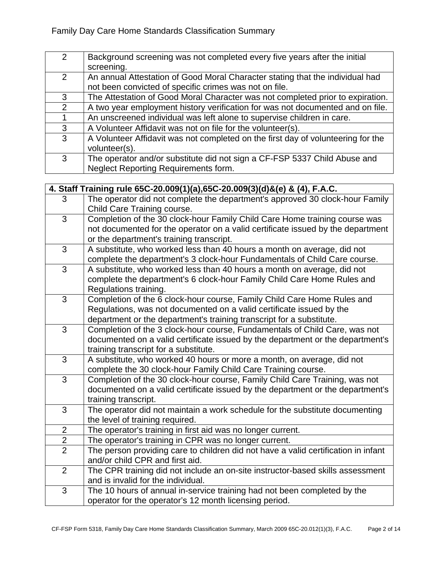| $\mathcal{P}$ | Background screening was not completed every five years after the initial        |
|---------------|----------------------------------------------------------------------------------|
|               | screening.                                                                       |
| 2             | An annual Attestation of Good Moral Character stating that the individual had    |
|               | not been convicted of specific crimes was not on file.                           |
| 3             | The Attestation of Good Moral Character was not completed prior to expiration.   |
| 2             | A two year employment history verification for was not documented and on file.   |
|               | An unscreened individual was left alone to supervise children in care.           |
| 3             | A Volunteer Affidavit was not on file for the volunteer(s).                      |
| 3             | A Volunteer Affidavit was not completed on the first day of volunteering for the |
|               | volunteer(s).                                                                    |
| 3             | The operator and/or substitute did not sign a CF-FSP 5337 Child Abuse and        |
|               | Neglect Reporting Requirements form.                                             |

|                | 4. Staff Training rule 65C-20.009(1)(a),65C-20.009(3)(d)&(e) & (4), F.A.C.         |
|----------------|------------------------------------------------------------------------------------|
| 3              | The operator did not complete the department's approved 30 clock-hour Family       |
|                | Child Care Training course.                                                        |
| $\overline{3}$ | Completion of the 30 clock-hour Family Child Care Home training course was         |
|                | not documented for the operator on a valid certificate issued by the department    |
|                | or the department's training transcript.                                           |
| $\overline{3}$ | A substitute, who worked less than 40 hours a month on average, did not            |
|                | complete the department's 3 clock-hour Fundamentals of Child Care course.          |
| 3              | A substitute, who worked less than 40 hours a month on average, did not            |
|                | complete the department's 6 clock-hour Family Child Care Home Rules and            |
|                | Regulations training.                                                              |
| 3              | Completion of the 6 clock-hour course, Family Child Care Home Rules and            |
|                | Regulations, was not documented on a valid certificate issued by the               |
|                | department or the department's training transcript for a substitute.               |
| $\overline{3}$ | Completion of the 3 clock-hour course, Fundamentals of Child Care, was not         |
|                | documented on a valid certificate issued by the department or the department's     |
|                | training transcript for a substitute.                                              |
| 3              | A substitute, who worked 40 hours or more a month, on average, did not             |
|                | complete the 30 clock-hour Family Child Care Training course.                      |
| 3              | Completion of the 30 clock-hour course, Family Child Care Training, was not        |
|                | documented on a valid certificate issued by the department or the department's     |
|                | training transcript.                                                               |
| $\overline{3}$ | The operator did not maintain a work schedule for the substitute documenting       |
|                | the level of training required.                                                    |
| $\overline{2}$ | The operator's training in first aid was no longer current.                        |
| $\overline{2}$ | The operator's training in CPR was no longer current.                              |
| $\overline{2}$ | The person providing care to children did not have a valid certification in infant |
|                | and/or child CPR and first aid.                                                    |
| $\overline{2}$ | The CPR training did not include an on-site instructor-based skills assessment     |
|                | and is invalid for the individual.                                                 |
| $\overline{3}$ | The 10 hours of annual in-service training had not been completed by the           |
|                | operator for the operator's 12 month licensing period.                             |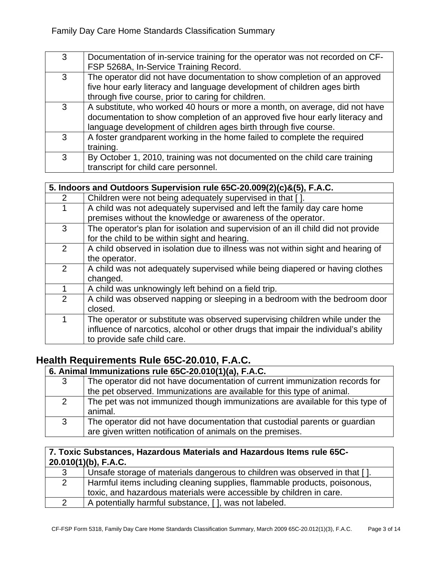| 3 | Documentation of in-service training for the operator was not recorded on CF-<br>FSP 5268A, In-Service Training Record.                                                                                                         |
|---|---------------------------------------------------------------------------------------------------------------------------------------------------------------------------------------------------------------------------------|
| 3 | The operator did not have documentation to show completion of an approved<br>five hour early literacy and language development of children ages birth<br>through five course, prior to caring for children.                     |
| 3 | A substitute, who worked 40 hours or more a month, on average, did not have<br>documentation to show completion of an approved five hour early literacy and<br>language development of children ages birth through five course. |
| 3 | A foster grandparent working in the home failed to complete the required<br>training.                                                                                                                                           |
| 3 | By October 1, 2010, training was not documented on the child care training<br>transcript for child care personnel.                                                                                                              |

| 5. Indoors and Outdoors Supervision rule 65C-20.009(2)(c)&(5), F.A.C. |                                                                                                                                                                                                    |  |
|-----------------------------------------------------------------------|----------------------------------------------------------------------------------------------------------------------------------------------------------------------------------------------------|--|
| 2                                                                     | Children were not being adequately supervised in that [].                                                                                                                                          |  |
|                                                                       | A child was not adequately supervised and left the family day care home<br>premises without the knowledge or awareness of the operator.                                                            |  |
| 3                                                                     | The operator's plan for isolation and supervision of an ill child did not provide<br>for the child to be within sight and hearing.                                                                 |  |
| 2                                                                     | A child observed in isolation due to illness was not within sight and hearing of<br>the operator.                                                                                                  |  |
| 2                                                                     | A child was not adequately supervised while being diapered or having clothes<br>changed.                                                                                                           |  |
|                                                                       | A child was unknowingly left behind on a field trip.                                                                                                                                               |  |
| $\overline{2}$                                                        | A child was observed napping or sleeping in a bedroom with the bedroom door<br>closed.                                                                                                             |  |
| 1                                                                     | The operator or substitute was observed supervising children while under the<br>influence of narcotics, alcohol or other drugs that impair the individual's ability<br>to provide safe child care. |  |

## **Health Requirements Rule 65C-20.010, F.A.C.**

## **6. Animal Immunizations rule 65C-20.010(1)(a), F.A.C.**

3 The operator did not have documentation of current immunization records for the pet observed. Immunizations are available for this type of animal. 2 The pet was not immunized though immunizations are available for this type of animal. 3 The operator did not have documentation that custodial parents or guardian are given written notification of animals on the premises.

#### **7. Toxic Substances, Hazardous Materials and Hazardous Items rule 65C-20.010(1)(b), F.A.C.**

| Unsafe storage of materials dangerous to children was observed in that []. |
|----------------------------------------------------------------------------|
| Harmful items including cleaning supplies, flammable products, poisonous,  |
| toxic, and hazardous materials were accessible by children in care.        |
| A potentially harmful substance, [], was not labeled.                      |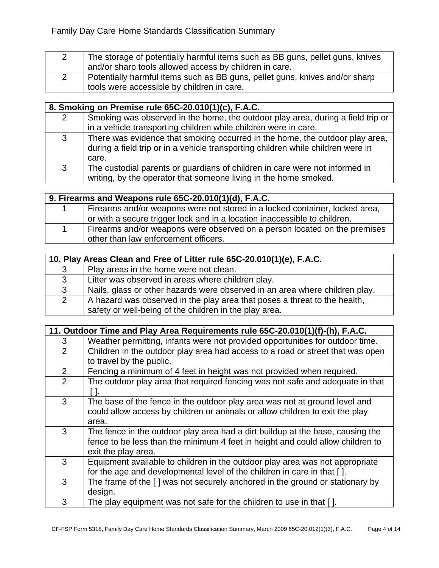| The storage of potentially harmful items such as BB guns, pellet guns, knives |
|-------------------------------------------------------------------------------|
| and/or sharp tools allowed access by children in care.                        |
| Potentially harmful items such as BB guns, pellet guns, knives and/or sharp   |
| tools were accessible by children in care.                                    |

|   | 8. Smoking on Premise rule 65C-20.010(1)(c), F.A.C.                                                                                                                       |  |  |
|---|---------------------------------------------------------------------------------------------------------------------------------------------------------------------------|--|--|
| 2 | Smoking was observed in the home, the outdoor play area, during a field trip or<br>in a vehicle transporting children while children were in care.                        |  |  |
| 3 | There was evidence that smoking occurred in the home, the outdoor play area,<br>during a field trip or in a vehicle transporting children while children were in<br>care. |  |  |
| 3 | The custodial parents or guardians of children in care were not informed in<br>writing, by the operator that someone living in the home smoked.                           |  |  |

| 9. Firearms and Weapons rule 65C-20.010(1)(d), F.A.C. |                                                                             |  |
|-------------------------------------------------------|-----------------------------------------------------------------------------|--|
|                                                       | Firearms and/or weapons were not stored in a locked container, locked area, |  |
|                                                       | or with a secure trigger lock and in a location inaccessible to children.   |  |
|                                                       | Firearms and/or weapons were observed on a person located on the premises   |  |
|                                                       | other than law enforcement officers.                                        |  |

| 10. Play Areas Clean and Free of Litter rule 65C-20.010(1)(e), F.A.C. |                                                                                                                                     |
|-----------------------------------------------------------------------|-------------------------------------------------------------------------------------------------------------------------------------|
| 3                                                                     | Play areas in the home were not clean.                                                                                              |
| 3                                                                     | Litter was observed in areas where children play.                                                                                   |
| 3                                                                     | Nails, glass or other hazards were observed in an area where children play.                                                         |
| 2                                                                     | A hazard was observed in the play area that poses a threat to the health,<br>safety or well-being of the children in the play area. |

| 11. Outdoor Time and Play Area Requirements rule 65C-20.010(1)(f)-(h), F.A.C. |                                                                                |
|-------------------------------------------------------------------------------|--------------------------------------------------------------------------------|
| 3                                                                             | Weather permitting, infants were not provided opportunities for outdoor time.  |
| $\overline{2}$                                                                | Children in the outdoor play area had access to a road or street that was open |
|                                                                               | to travel by the public.                                                       |
| $\overline{2}$                                                                | Fencing a minimum of 4 feet in height was not provided when required.          |
| 2                                                                             | The outdoor play area that required fencing was not safe and adequate in that  |
|                                                                               |                                                                                |
| 3                                                                             | The base of the fence in the outdoor play area was not at ground level and     |
|                                                                               | could allow access by children or animals or allow children to exit the play   |
|                                                                               | area.                                                                          |
| 3                                                                             | The fence in the outdoor play area had a dirt buildup at the base, causing the |
|                                                                               | fence to be less than the minimum 4 feet in height and could allow children to |
|                                                                               | exit the play area.                                                            |
| 3                                                                             | Equipment available to children in the outdoor play area was not appropriate   |
|                                                                               | for the age and developmental level of the children in care in that [].        |
| 3                                                                             | The frame of the [] was not securely anchored in the ground or stationary by   |
|                                                                               | design.                                                                        |
| 3                                                                             | The play equipment was not safe for the children to use in that [].            |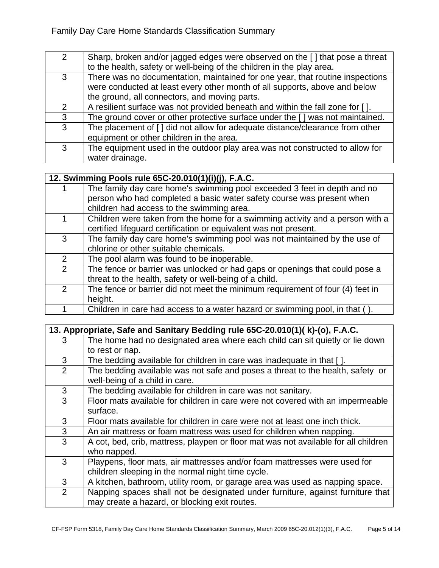| $\overline{2}$ | Sharp, broken and/or jagged edges were observed on the [] that pose a threat<br>to the health, safety or well-being of the children in the play area.                                                        |
|----------------|--------------------------------------------------------------------------------------------------------------------------------------------------------------------------------------------------------------|
| 3              | There was no documentation, maintained for one year, that routine inspections<br>were conducted at least every other month of all supports, above and below<br>the ground, all connectors, and moving parts. |
| 2              | A resilient surface was not provided beneath and within the fall zone for [].                                                                                                                                |
| 3              | The ground cover or other protective surface under the [] was not maintained.                                                                                                                                |
| $\mathbf{3}$   | The placement of [] did not allow for adequate distance/clearance from other<br>equipment or other children in the area.                                                                                     |
| 3              | The equipment used in the outdoor play area was not constructed to allow for<br>water drainage.                                                                                                              |

| 12. Swimming Pools rule 65C-20.010(1)(i)(j), F.A.C. |                                                                                                                                                                                                |
|-----------------------------------------------------|------------------------------------------------------------------------------------------------------------------------------------------------------------------------------------------------|
|                                                     | The family day care home's swimming pool exceeded 3 feet in depth and no<br>person who had completed a basic water safety course was present when<br>children had access to the swimming area. |
|                                                     | Children were taken from the home for a swimming activity and a person with a<br>certified lifeguard certification or equivalent was not present.                                              |
| 3                                                   | The family day care home's swimming pool was not maintained by the use of<br>chlorine or other suitable chemicals.                                                                             |
| $\mathcal{P}$                                       | The pool alarm was found to be inoperable.                                                                                                                                                     |
| $\mathcal{P}$                                       | The fence or barrier was unlocked or had gaps or openings that could pose a<br>threat to the health, safety or well-being of a child.                                                          |
| 2                                                   | The fence or barrier did not meet the minimum requirement of four (4) feet in<br>height.                                                                                                       |
|                                                     | Children in care had access to a water hazard or swimming pool, in that ().                                                                                                                    |

| 13. Appropriate, Safe and Sanitary Bedding rule 65C-20.010(1)( k)-(o), F.A.C. |                                                                                     |
|-------------------------------------------------------------------------------|-------------------------------------------------------------------------------------|
| 3                                                                             | The home had no designated area where each child can sit quietly or lie down        |
|                                                                               | to rest or nap.                                                                     |
| 3                                                                             | The bedding available for children in care was inadequate in that [].               |
| 2                                                                             | The bedding available was not safe and poses a threat to the health, safety or      |
|                                                                               | well-being of a child in care.                                                      |
| 3                                                                             | The bedding available for children in care was not sanitary.                        |
| 3                                                                             | Floor mats available for children in care were not covered with an impermeable      |
|                                                                               | surface.                                                                            |
| 3                                                                             | Floor mats available for children in care were not at least one inch thick.         |
| 3                                                                             | An air mattress or foam mattress was used for children when napping.                |
| 3                                                                             | A cot, bed, crib, mattress, playpen or floor mat was not available for all children |
|                                                                               | who napped.                                                                         |
| 3                                                                             | Playpens, floor mats, air mattresses and/or foam mattresses were used for           |
|                                                                               | children sleeping in the normal night time cycle.                                   |
| 3                                                                             | A kitchen, bathroom, utility room, or garage area was used as napping space.        |
| 2                                                                             | Napping spaces shall not be designated under furniture, against furniture that      |
|                                                                               | may create a hazard, or blocking exit routes.                                       |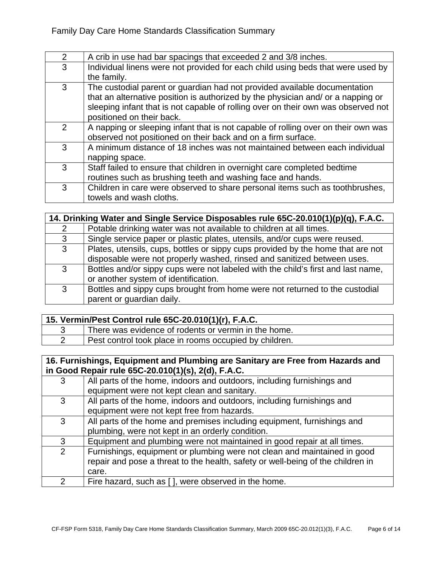| $\overline{2}$ | A crib in use had bar spacings that exceeded 2 and 3/8 inches.                    |
|----------------|-----------------------------------------------------------------------------------|
| 3              | Individual linens were not provided for each child using beds that were used by   |
|                | the family.                                                                       |
| 3              | The custodial parent or guardian had not provided available documentation         |
|                | that an alternative position is authorized by the physician and/ or a napping or  |
|                | sleeping infant that is not capable of rolling over on their own was observed not |
|                | positioned on their back.                                                         |
| $\mathcal{P}$  | A napping or sleeping infant that is not capable of rolling over on their own was |
|                | observed not positioned on their back and on a firm surface.                      |
| 3              | A minimum distance of 18 inches was not maintained between each individual        |
|                | napping space.                                                                    |
| 3              | Staff failed to ensure that children in overnight care completed bedtime          |
|                | routines such as brushing teeth and washing face and hands.                       |
| 3              | Children in care were observed to share personal items such as toothbrushes,      |
|                | towels and wash cloths.                                                           |

|              | 14. Drinking Water and Single Service Disposables rule 65C-20.010(1)(p)(q), F.A.C.                                                                         |  |
|--------------|------------------------------------------------------------------------------------------------------------------------------------------------------------|--|
| 2            | Potable drinking water was not available to children at all times.                                                                                         |  |
| 3            | Single service paper or plastic plates, utensils, and/or cups were reused.                                                                                 |  |
| $\mathbf{3}$ | Plates, utensils, cups, bottles or sippy cups provided by the home that are not<br>disposable were not properly washed, rinsed and sanitized between uses. |  |
| 3            | Bottles and/or sippy cups were not labeled with the child's first and last name,<br>or another system of identification.                                   |  |
| 3            | Bottles and sippy cups brought from home were not returned to the custodial<br>parent or guardian daily.                                                   |  |

| 15. Vermin/Pest Control rule 65C-20.010(1)(r), F.A.C.  |
|--------------------------------------------------------|
| There was evidence of rodents or vermin in the home.   |
| Pest control took place in rooms occupied by children. |

### **16. Furnishings, Equipment and Plumbing are Sanitary are Free from Hazards and in Good Repair rule 65C-20.010(1)(s), 2(d), F.A.C.**

| 3              | All parts of the home, indoors and outdoors, including furnishings and          |
|----------------|---------------------------------------------------------------------------------|
|                | equipment were not kept clean and sanitary.                                     |
| 3              | All parts of the home, indoors and outdoors, including furnishings and          |
|                | equipment were not kept free from hazards.                                      |
| 3              | All parts of the home and premises including equipment, furnishings and         |
|                | plumbing, were not kept in an orderly condition.                                |
| 3              | Equipment and plumbing were not maintained in good repair at all times.         |
| $\overline{2}$ | Furnishings, equipment or plumbing were not clean and maintained in good        |
|                | repair and pose a threat to the health, safety or well-being of the children in |
|                | care.                                                                           |
| 2              | Fire hazard, such as [], were observed in the home.                             |
|                |                                                                                 |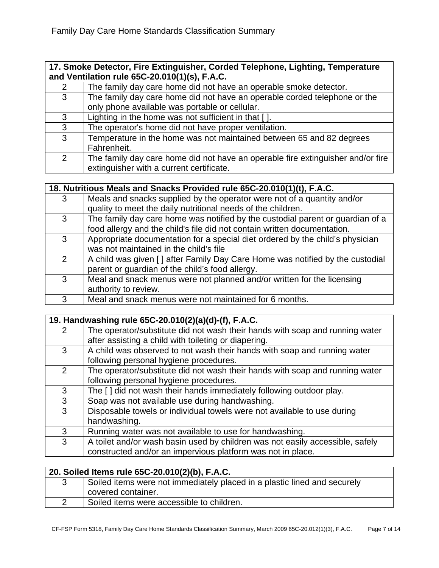#### **17. Smoke Detector, Fire Extinguisher, Corded Telephone, Lighting, Temperature and Ventilation rule 65C-20.010(1)(s), F.A.C.**

| $\overline{2}$ | The family day care home did not have an operable smoke detector.               |
|----------------|---------------------------------------------------------------------------------|
| 3              | The family day care home did not have an operable corded telephone or the       |
|                | only phone available was portable or cellular.                                  |
| 3              | Lighting in the home was not sufficient in that [].                             |
| 3              | The operator's home did not have proper ventilation.                            |
| $\mathbf{3}$   | Temperature in the home was not maintained between 65 and 82 degrees            |
|                | Fahrenheit.                                                                     |
| $\overline{2}$ | The family day care home did not have an operable fire extinguisher and/or fire |
|                | extinguisher with a current certificate.                                        |

## **18. Nutritious Meals and Snacks Provided rule 65C-20.010(1)(t), F.A.C.**

| 3             | Meals and snacks supplied by the operator were not of a quantity and/or        |
|---------------|--------------------------------------------------------------------------------|
|               | quality to meet the daily nutritional needs of the children.                   |
| 3             | The family day care home was notified by the custodial parent or guardian of a |
|               | food allergy and the child's file did not contain written documentation.       |
| 3             | Appropriate documentation for a special diet ordered by the child's physician  |
|               | was not maintained in the child's file                                         |
| $\mathcal{P}$ | A child was given [] after Family Day Care Home was notified by the custodial  |
|               | parent or guardian of the child's food allergy.                                |
| 3             | Meal and snack menus were not planned and/or written for the licensing         |
|               | authority to review.                                                           |
| 3             | Meal and snack menus were not maintained for 6 months.                         |
|               |                                                                                |

|               | 19. Handwashing rule 65C-20.010(2)(a)(d)-(f), F.A.C.                          |
|---------------|-------------------------------------------------------------------------------|
| $\mathcal{P}$ | The operator/substitute did not wash their hands with soap and running water  |
|               | after assisting a child with toileting or diapering.                          |
| 3             | A child was observed to not wash their hands with soap and running water      |
|               | following personal hygiene procedures.                                        |
| 2             | The operator/substitute did not wash their hands with soap and running water  |
|               | following personal hygiene procedures.                                        |
| 3             | The [] did not wash their hands immediately following outdoor play.           |
| 3             | Soap was not available use during handwashing.                                |
| 3             | Disposable towels or individual towels were not available to use during       |
|               | handwashing.                                                                  |
| 3             | Running water was not available to use for handwashing.                       |
| 3             | A toilet and/or wash basin used by children was not easily accessible, safely |
|               | constructed and/or an impervious platform was not in place.                   |

| 20. Soiled Items rule 65C-20.010(2)(b), F.A.C. |  |                                                                          |
|------------------------------------------------|--|--------------------------------------------------------------------------|
|                                                |  | Soiled items were not immediately placed in a plastic lined and securely |
|                                                |  | covered container.                                                       |
|                                                |  | Soiled items were accessible to children.                                |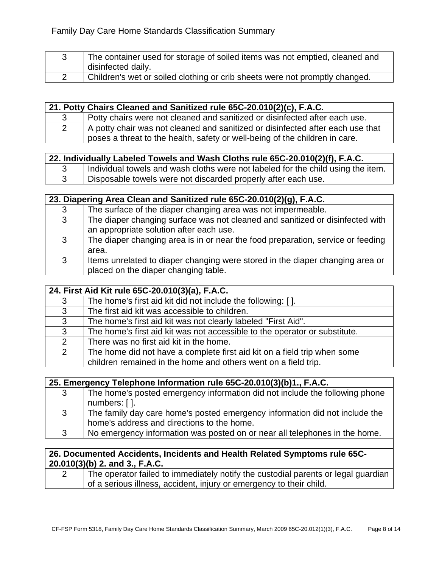3 The container used for storage of soiled items was not emptied, cleaned and disinfected daily. 2 Children's wet or soiled clothing or crib sheets were not promptly changed.

|    | 21. Potty Chairs Cleaned and Sanitized rule 65C-20.010(2)(c), F.A.C.                                                                                          |
|----|---------------------------------------------------------------------------------------------------------------------------------------------------------------|
| -3 | Potty chairs were not cleaned and sanitized or disinfected after each use.                                                                                    |
|    | A potty chair was not cleaned and sanitized or disinfected after each use that<br>poses a threat to the health, safety or well-being of the children in care. |

|  | 22. Individually Labeled Towels and Wash Cloths rule 65C-20.010(2)(f), F.A.C.    |
|--|----------------------------------------------------------------------------------|
|  | Individual towels and wash cloths were not labeled for the child using the item. |
|  | Disposable towels were not discarded properly after each use.                    |

| 23. Diapering Area Clean and Sanitized rule 65C-20.010(2)(g), F.A.C. |   |                                                                                                                          |
|----------------------------------------------------------------------|---|--------------------------------------------------------------------------------------------------------------------------|
|                                                                      | 3 | The surface of the diaper changing area was not impermeable.                                                             |
|                                                                      | 3 | The diaper changing surface was not cleaned and sanitized or disinfected with<br>an appropriate solution after each use. |
|                                                                      | 3 | The diaper changing area is in or near the food preparation, service or feeding<br>area.                                 |
|                                                                      | 3 | Items unrelated to diaper changing were stored in the diaper changing area or<br>placed on the diaper changing table.    |

|              | 24. First Aid Kit rule 65C-20.010(3)(a), F.A.C.                            |  |
|--------------|----------------------------------------------------------------------------|--|
| 3            | The home's first aid kit did not include the following: [].                |  |
| $\mathbf{3}$ | The first aid kit was accessible to children.                              |  |
| $\mathbf{3}$ | The home's first aid kit was not clearly labeled "First Aid".              |  |
| $\mathbf{3}$ | The home's first aid kit was not accessible to the operator or substitute. |  |
| 2            | There was no first aid kit in the home.                                    |  |
| 2            | The home did not have a complete first aid kit on a field trip when some   |  |
|              | children remained in the home and others went on a field trip.             |  |

|   | 25. Emergency Telephone Information rule 65C-20.010(3)(b)1., F.A.C.         |
|---|-----------------------------------------------------------------------------|
| 3 | The home's posted emergency information did not include the following phone |
|   | numbers: [].                                                                |
| 3 | The family day care home's posted emergency information did not include the |
|   | home's address and directions to the home.                                  |
| 3 | No emergency information was posted on or near all telephones in the home.  |

### **26. Documented Accidents, Incidents and Health Related Symptoms rule 65C-20.010(3)(b) 2. and 3., F.A.C.**

| The operator failed to immediately notify the custodial parents or legal guardian |
|-----------------------------------------------------------------------------------|
| of a serious illness, accident, injury or emergency to their child.               |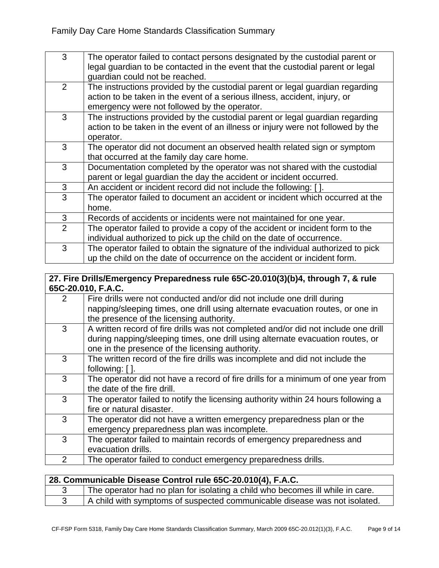| 3              | The operator failed to contact persons designated by the custodial parent or<br>legal guardian to be contacted in the event that the custodial parent or legal<br>guardian could not be reached.            |
|----------------|-------------------------------------------------------------------------------------------------------------------------------------------------------------------------------------------------------------|
| 2              | The instructions provided by the custodial parent or legal guardian regarding<br>action to be taken in the event of a serious illness, accident, injury, or<br>emergency were not followed by the operator. |
| 3              | The instructions provided by the custodial parent or legal guardian regarding<br>action to be taken in the event of an illness or injury were not followed by the<br>operator.                              |
| 3              | The operator did not document an observed health related sign or symptom<br>that occurred at the family day care home.                                                                                      |
| 3              | Documentation completed by the operator was not shared with the custodial<br>parent or legal guardian the day the accident or incident occurred.                                                            |
| 3              | An accident or incident record did not include the following: [ ].                                                                                                                                          |
| 3              | The operator failed to document an accident or incident which occurred at the<br>home.                                                                                                                      |
| 3              | Records of accidents or incidents were not maintained for one year.                                                                                                                                         |
| $\overline{2}$ | The operator failed to provide a copy of the accident or incident form to the<br>individual authorized to pick up the child on the date of occurrence.                                                      |
| 3              | The operator failed to obtain the signature of the individual authorized to pick<br>up the child on the date of occurrence on the accident or incident form.                                                |

#### **27. Fire Drills/Emergency Preparedness rule 65C-20.010(3)(b)4, through 7, & rule 65C-20.010, F.A.C.**

| $\overline{2}$ | Fire drills were not conducted and/or did not include one drill during<br>napping/sleeping times, one drill using alternate evacuation routes, or one in<br>the presence of the licensing authority.                    |
|----------------|-------------------------------------------------------------------------------------------------------------------------------------------------------------------------------------------------------------------------|
| 3              | A written record of fire drills was not completed and/or did not include one drill<br>during napping/sleeping times, one drill using alternate evacuation routes, or<br>one in the presence of the licensing authority. |
| 3              | The written record of the fire drills was incomplete and did not include the<br>following: $[ ]$ .                                                                                                                      |
| 3              | The operator did not have a record of fire drills for a minimum of one year from<br>the date of the fire drill.                                                                                                         |
| 3              | The operator failed to notify the licensing authority within 24 hours following a<br>fire or natural disaster.                                                                                                          |
| 3              | The operator did not have a written emergency preparedness plan or the<br>emergency preparedness plan was incomplete.                                                                                                   |
| 3              | The operator failed to maintain records of emergency preparedness and<br>evacuation drills.                                                                                                                             |
| $\overline{2}$ | The operator failed to conduct emergency preparedness drills.                                                                                                                                                           |

|  | 28. Communicable Disease Control rule 65C-20.010(4), F.A.C.                   |
|--|-------------------------------------------------------------------------------|
|  | The operator had no plan for isolating a child who becomes ill while in care. |
|  | A child with symptoms of suspected communicable disease was not isolated.     |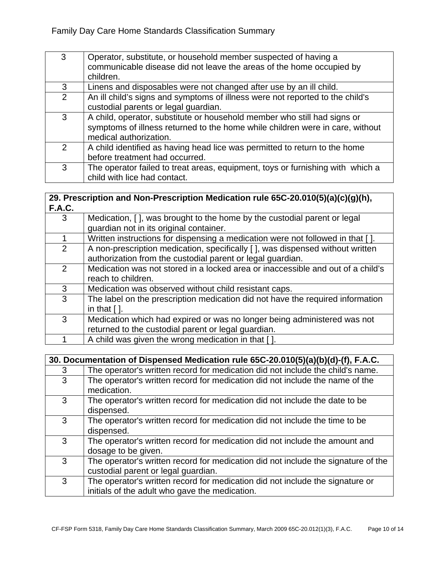| 3              | Operator, substitute, or household member suspected of having a<br>communicable disease did not leave the areas of the home occupied by<br>children.                                |
|----------------|-------------------------------------------------------------------------------------------------------------------------------------------------------------------------------------|
| 3              | Linens and disposables were not changed after use by an ill child.                                                                                                                  |
| $\overline{2}$ | An ill child's signs and symptoms of illness were not reported to the child's<br>custodial parents or legal guardian.                                                               |
| 3              | A child, operator, substitute or household member who still had signs or<br>symptoms of illness returned to the home while children were in care, without<br>medical authorization. |
| $\mathcal{P}$  | A child identified as having head lice was permitted to return to the home<br>before treatment had occurred.                                                                        |
| 3              | The operator failed to treat areas, equipment, toys or furnishing with which a<br>child with lice had contact.                                                                      |

#### **29. Prescription and Non-Prescription Medication rule 65C-20.010(5)(a)(c)(g)(h), F.A.C.**

| 3              | Medication, [ ], was brought to the home by the custodial parent or legal       |
|----------------|---------------------------------------------------------------------------------|
|                | guardian not in its original container.                                         |
|                | Written instructions for dispensing a medication were not followed in that [].  |
| 2              | A non-prescription medication, specifically [], was dispensed without written   |
|                | authorization from the custodial parent or legal guardian.                      |
| $\overline{2}$ | Medication was not stored in a locked area or inaccessible and out of a child's |
|                | reach to children.                                                              |
| 3              | Medication was observed without child resistant caps.                           |
| 3              | The label on the prescription medication did not have the required information  |
|                | in that $[$ $]$ .                                                               |
| 3              | Medication which had expired or was no longer being administered was not        |
|                | returned to the custodial parent or legal guardian.                             |
|                | A child was given the wrong medication in that [].                              |
|                |                                                                                 |

|   | 30. Documentation of Dispensed Medication rule 65C-20.010(5)(a)(b)(d)-(f), F.A.C.                                               |  |
|---|---------------------------------------------------------------------------------------------------------------------------------|--|
| 3 | The operator's written record for medication did not include the child's name.                                                  |  |
| 3 | The operator's written record for medication did not include the name of the<br>medication.                                     |  |
| 3 | The operator's written record for medication did not include the date to be<br>dispensed.                                       |  |
| 3 | The operator's written record for medication did not include the time to be<br>dispensed.                                       |  |
| 3 | The operator's written record for medication did not include the amount and<br>dosage to be given.                              |  |
| 3 | The operator's written record for medication did not include the signature of the<br>custodial parent or legal guardian.        |  |
| 3 | The operator's written record for medication did not include the signature or<br>initials of the adult who gave the medication. |  |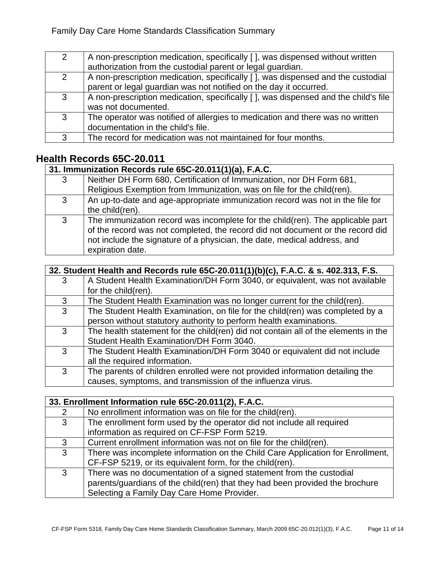| 2 | A non-prescription medication, specifically [], was dispensed without written<br>authorization from the custodial parent or legal guardian.          |
|---|------------------------------------------------------------------------------------------------------------------------------------------------------|
| 2 | A non-prescription medication, specifically [], was dispensed and the custodial<br>parent or legal guardian was not notified on the day it occurred. |
| 3 | A non-prescription medication, specifically [], was dispensed and the child's file<br>was not documented.                                            |
| 3 | The operator was notified of allergies to medication and there was no written<br>documentation in the child's file.                                  |
| 3 | The record for medication was not maintained for four months.                                                                                        |

# **Health Records 65C-20.011**

|              | 31. Immunization Records rule 65C-20.011(1)(a), F.A.C.                         |  |
|--------------|--------------------------------------------------------------------------------|--|
| 3            | Neither DH Form 680, Certification of Immunization, nor DH Form 681,           |  |
|              | Religious Exemption from Immunization, was on file for the child(ren).         |  |
| $\mathbf{3}$ | An up-to-date and age-appropriate immunization record was not in the file for  |  |
|              | the child(ren).                                                                |  |
| 3            | The immunization record was incomplete for the child(ren). The applicable part |  |
|              | of the record was not completed, the record did not document or the record did |  |
|              | not include the signature of a physician, the date, medical address, and       |  |
|              | expiration date.                                                               |  |

| 32. Student Health and Records rule 65C-20.011(1)(b)(c), F.A.C. & s. 402.313, F.S. |                                                                                    |
|------------------------------------------------------------------------------------|------------------------------------------------------------------------------------|
| 3                                                                                  | A Student Health Examination/DH Form 3040, or equivalent, was not available        |
|                                                                                    | for the child(ren).                                                                |
| 3                                                                                  | The Student Health Examination was no longer current for the child(ren).           |
| 3                                                                                  | The Student Health Examination, on file for the child(ren) was completed by a      |
|                                                                                    | person without statutory authority to perform health examinations.                 |
| 3                                                                                  | The health statement for the child(ren) did not contain all of the elements in the |
|                                                                                    | Student Health Examination/DH Form 3040.                                           |
| 3                                                                                  | The Student Health Examination/DH Form 3040 or equivalent did not include          |
|                                                                                    | all the required information.                                                      |
| 3                                                                                  | The parents of children enrolled were not provided information detailing the       |
|                                                                                    | causes, symptoms, and transmission of the influenza virus.                         |

|              | 33. Enrollment Information rule 65C-20.011(2), F.A.C.                          |  |
|--------------|--------------------------------------------------------------------------------|--|
| 2            | No enrollment information was on file for the child(ren).                      |  |
| $\mathbf{3}$ | The enrollment form used by the operator did not include all required          |  |
|              | information as required on CF-FSP Form 5219.                                   |  |
| 3            | Current enrollment information was not on file for the child(ren).             |  |
| 3            | There was incomplete information on the Child Care Application for Enrollment, |  |
|              | CF-FSP 5219, or its equivalent form, for the child(ren).                       |  |
| $\mathbf{3}$ | There was no documentation of a signed statement from the custodial            |  |
|              | parents/guardians of the child(ren) that they had been provided the brochure   |  |
|              | Selecting a Family Day Care Home Provider.                                     |  |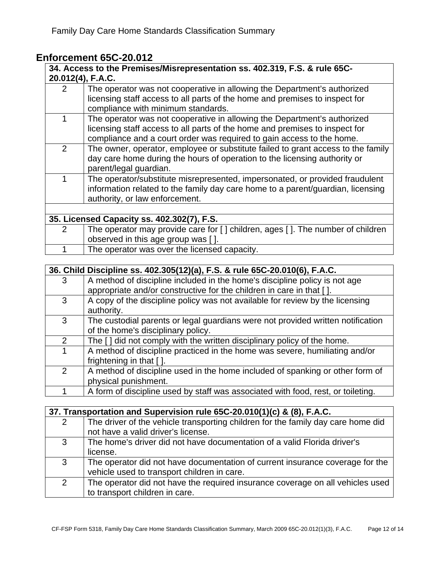# **Enforcement 65C-20.012**

|   | ENTORCEMENT 03U-ZU.UTZ                                                           |
|---|----------------------------------------------------------------------------------|
|   | 34. Access to the Premises/Misrepresentation ss. 402.319, F.S. & rule 65C-       |
|   | 20.012(4), F.A.C.                                                                |
| 2 | The operator was not cooperative in allowing the Department's authorized         |
|   | licensing staff access to all parts of the home and premises to inspect for      |
|   | compliance with minimum standards.                                               |
| 1 | The operator was not cooperative in allowing the Department's authorized         |
|   | licensing staff access to all parts of the home and premises to inspect for      |
|   | compliance and a court order was required to gain access to the home.            |
| 2 | The owner, operator, employee or substitute failed to grant access to the family |
|   | day care home during the hours of operation to the licensing authority or        |
|   | parent/legal guardian.                                                           |
| 1 | The operator/substitute misrepresented, impersonated, or provided fraudulent     |
|   | information related to the family day care home to a parent/guardian, licensing  |
|   | authority, or law enforcement.                                                   |
|   |                                                                                  |
|   | 35. Licensed Capacity ss. 402.302(7), F.S.                                       |
| 2 | The operator may provide care for [] children, ages []. The number of children   |
|   | observed in this age group was [].                                               |
| 1 | The operator was over the licensed capacity.                                     |
|   |                                                                                  |
|   | 36. Child Discipline ss. 402.305(12)(a), F.S. & rule 65C-20.010(6), F.A.C.       |
| 3 | A method of discipline included in the home's discipline policy is not age       |
|   | appropriate and/or constructive for the children in care in that [ ].            |
| 3 | A copy of the discipline policy was not available for review by the licensing    |
|   | authority.                                                                       |

| The custodial parents or legal guardians were not provided written notification |
|---------------------------------------------------------------------------------|
| of the home's disciplinary policy.                                              |
| The [] did not comply with the written disciplinary policy of the home.         |
| A method of discipline practiced in the home was severe humiliating and/or      |

| A method of discipline practiced in the home was severe, humiliating and/or   |
|-------------------------------------------------------------------------------|
| frightening in that [].                                                       |
| A method of discipline used in the home included of spanking or other form of |
| physical punishment.                                                          |

1 A form of discipline used by staff was associated with food, rest, or toileting.

|   | 37. Transportation and Supervision rule 65C-20.010(1)(c) & (8), F.A.C.           |  |
|---|----------------------------------------------------------------------------------|--|
| 2 | The driver of the vehicle transporting children for the family day care home did |  |
|   | not have a valid driver's license.                                               |  |
| 3 | The home's driver did not have documentation of a valid Florida driver's         |  |
|   | license.                                                                         |  |
| 3 | The operator did not have documentation of current insurance coverage for the    |  |
|   | vehicle used to transport children in care.                                      |  |
| 2 | The operator did not have the required insurance coverage on all vehicles used   |  |
|   | to transport children in care.                                                   |  |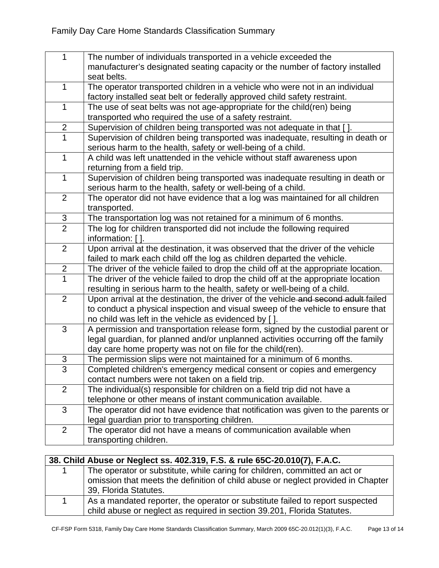| $\mathbf{1}$   |                                                                                     |
|----------------|-------------------------------------------------------------------------------------|
|                | The number of individuals transported in a vehicle exceeded the                     |
|                | manufacturer's designated seating capacity or the number of factory installed       |
|                | seat belts.                                                                         |
| $\mathbf{1}$   | The operator transported children in a vehicle who were not in an individual        |
|                | factory installed seat belt or federally approved child safety restraint.           |
| $\mathbf{1}$   | The use of seat belts was not age-appropriate for the child(ren) being              |
|                | transported who required the use of a safety restraint.                             |
| $\overline{c}$ | Supervision of children being transported was not adequate in that [].              |
| $\overline{1}$ | Supervision of children being transported was inadequate, resulting in death or     |
|                | serious harm to the health, safety or well-being of a child.                        |
| $\mathbf{1}$   | A child was left unattended in the vehicle without staff awareness upon             |
|                | returning from a field trip.                                                        |
| $\mathbf{1}$   | Supervision of children being transported was inadequate resulting in death or      |
|                | serious harm to the health, safety or well-being of a child.                        |
| $\overline{2}$ | The operator did not have evidence that a log was maintained for all children       |
|                | transported.                                                                        |
| $\frac{3}{2}$  | The transportation log was not retained for a minimum of 6 months.                  |
|                | The log for children transported did not include the following required             |
|                | information: [].                                                                    |
| $\overline{2}$ | Upon arrival at the destination, it was observed that the driver of the vehicle     |
|                | failed to mark each child off the log as children departed the vehicle.             |
| $\overline{c}$ | The driver of the vehicle failed to drop the child off at the appropriate location. |
| $\overline{1}$ | The driver of the vehicle failed to drop the child off at the appropriate location  |
|                | resulting in serious harm to the health, safety or well-being of a child.           |
| $\overline{2}$ | Upon arrival at the destination, the driver of the vehicle and second adult failed  |
|                | to conduct a physical inspection and visual sweep of the vehicle to ensure that     |
|                | no child was left in the vehicle as evidenced by [].                                |
| 3              | A permission and transportation release form, signed by the custodial parent or     |
|                | legal guardian, for planned and/or unplanned activities occurring off the family    |
|                | day care home property was not on file for the child(ren).                          |
| 3              | The permission slips were not maintained for a minimum of 6 months.                 |
| 3              | Completed children's emergency medical consent or copies and emergency              |
|                | contact numbers were not taken on a field trip.                                     |
| 2              | The individual(s) responsible for children on a field trip did not have a           |
|                | telephone or other means of instant communication available.                        |
| 3              | The operator did not have evidence that notification was given to the parents or    |
|                | legal guardian prior to transporting children.                                      |
| $\overline{2}$ | The operator did not have a means of communication available when                   |
|                | transporting children.                                                              |
|                |                                                                                     |

## **38. Child Abuse or Neglect ss. 402.319, F.S. & rule 65C-20.010(7), F.A.C.**

| The operator or substitute, while caring for children, committed an act or       |
|----------------------------------------------------------------------------------|
| omission that meets the definition of child abuse or neglect provided in Chapter |
| 39, Florida Statutes.                                                            |
| As a mandated reporter, the operator or substitute failed to report suspected    |
| child abuse or neglect as required in section 39.201, Florida Statutes.          |